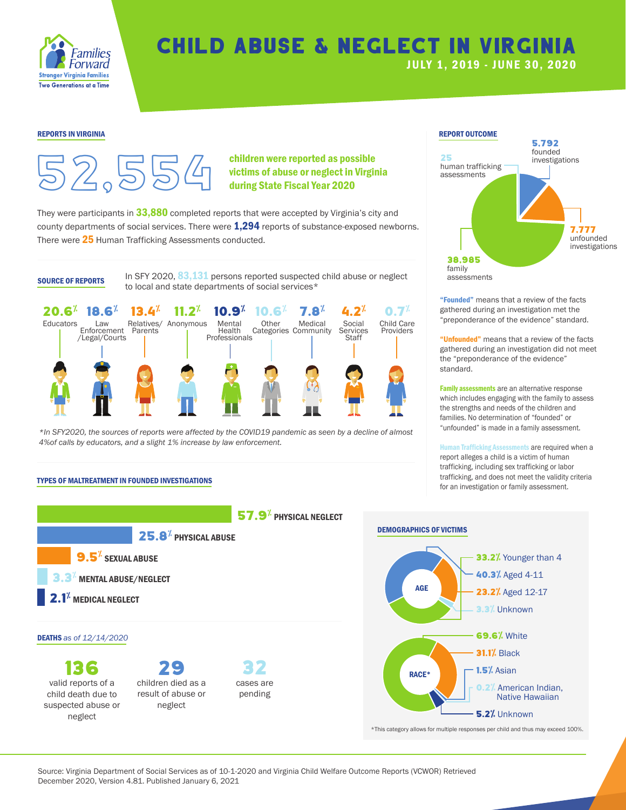

# Child Abuse & Neglect in Virginia

## JULY 1, 2019 - JUNE 30, 202 0



children were reported as possible victims of abuse or neglect in Virginia during State Fiscal Year 2020

They were participants in  $33,880$  completed reports that were accepted by Virginia's city and county departments of social services. There were **1,294** reports of substance-exposed newborns. There were 25 Human Trafficking Assessments conducted.

**SOURCE OF REPORTS** In SFY 2020,  $\frac{83,131}$  persons reported suspected child abuse or neglect assessments to local and state departments of social services\*



*\*In SFY2020, the sources of reports were affected by the COVID19 pandemic as seen by a decline of almost 4%of calls by educators, and a slight 1% increase by law enforcement.*

### REPORTS IN VIRGINIA AND A REPORT OUTCOME AND A REPORT OUTCOME AND A REPORT OUTCOME. 5,792 founded investigations 7,777 unfounded investigations 38,985 family<br>assessments 25 human trafficking assessments

"Founded" means that a review of the facts gathered during an investigation met the "preponderance of the evidence" standard.

"Unfounded" means that a review of the facts gathered during an investigation did not meet the "preponderance of the evidence" standard.

Family assessments are an alternative response which includes engaging with the family to assess the strengths and needs of the children and families. No determination of "founded" or "unfounded" is made in a family assessment.

Human Trafficking Assessments are required when a report alleges a child is a victim of human trafficking, including sex trafficking or labor trafficking, and does not meet the validity criteria for an investigation or family assessment.

#### TYPES OF MALTREATMENT IN FOUNDED INVESTIGATIONS



Source: Virginia Department of Social Services as of 10-1-2020 and Virginia Child Welfare Outcome Reports (VCWOR) Retrieved December 2020, Version 4.81. Published January 6, 2021